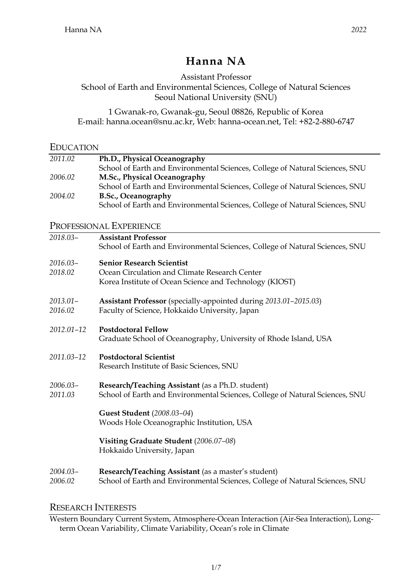# **Hanna NA**

Assistant Professor School of Earth and Environmental Sciences, College of Natural Sciences Seoul National University (SNU)

1 Gwanak-ro, Gwanak-gu, Seoul 08826, Republic of Korea E-mail: hanna.ocean@snu.ac.kr, Web: hanna-ocean.net, Tel: +82-2-880-6747

#### EDUCATION

| 2011.02 | Ph.D., Physical Oceanography                                                 |
|---------|------------------------------------------------------------------------------|
|         | School of Earth and Environmental Sciences, College of Natural Sciences, SNU |
| 2006.02 | M.Sc., Physical Oceanography                                                 |
|         | School of Earth and Environmental Sciences, College of Natural Sciences, SNU |
| 2004.02 | B.Sc., Oceanography                                                          |
|         | School of Earth and Environmental Sciences, College of Natural Sciences, SNU |

### PROFESSIONAL EXPERIENCE

| 2018.03-               | <b>Assistant Professor</b><br>School of Earth and Environmental Sciences, College of Natural Sciences, SNU                                   |
|------------------------|----------------------------------------------------------------------------------------------------------------------------------------------|
| $2016.03-$<br>2018.02  | <b>Senior Research Scientist</b><br>Ocean Circulation and Climate Research Center<br>Korea Institute of Ocean Science and Technology (KIOST) |
| $2013.01 -$<br>2016.02 | <b>Assistant Professor</b> (specially-appointed during 2013.01-2015.03)<br>Faculty of Science, Hokkaido University, Japan                    |
| 2012.01-12             | <b>Postdoctoral Fellow</b><br>Graduate School of Oceanography, University of Rhode Island, USA                                               |
| 2011.03-12             | <b>Postdoctoral Scientist</b><br>Research Institute of Basic Sciences, SNU                                                                   |
| $2006.03-$<br>2011.03  | Research/Teaching Assistant (as a Ph.D. student)<br>School of Earth and Environmental Sciences, College of Natural Sciences, SNU             |
|                        | Guest Student (2008.03-04)<br>Woods Hole Oceanographic Institution, USA                                                                      |
|                        | Visiting Graduate Student (2006.07-08)<br>Hokkaido University, Japan                                                                         |
| $2004.03-$<br>2006.02  | Research/Teaching Assistant (as a master's student)<br>School of Earth and Environmental Sciences, College of Natural Sciences, SNU          |

# RESEARCH INTERESTS

Western Boundary Current System, Atmosphere-Ocean Interaction (Air-Sea Interaction), Longterm Ocean Variability, Climate Variability, Ocean's role in Climate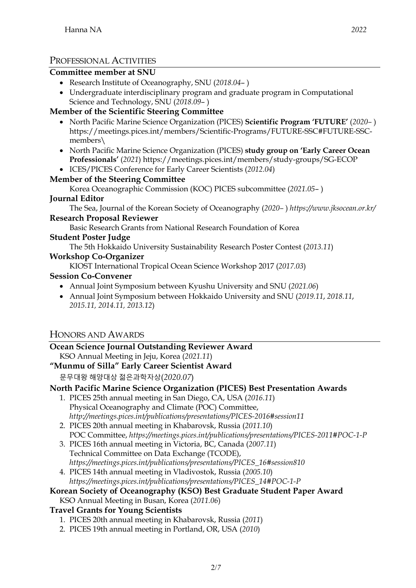# PROFESSIONAL ACTIVITIES

## **Committee member at SNU**

- Research Institute of Oceanography, SNU (*2018.04* )
- Undergraduate interdisciplinary program and graduate program in Computational Science and Technology, SNU (*2018.09*– )

# **Member of the Scientific Steering Committee**

- North Pacific Marine Science Organization (PICES) **Scientific Program 'FUTURE'** (*2020–* ) https://meetings.pices.int/members/Scientific-Programs/FUTURE-SSC#FUTURE-SSCmembers\
- North Pacific Marine Science Organization (PICES) **study group on 'Early Career Ocean Professionals'** (*2021*) https://meetings.pices.int/members/study-groups/SG-ECOP
- ICES/PICES Conference for Early Career Scientists (*2012.04*)

### **Member of the Steering Committee**

Korea Oceanographic Commission (KOC) PICES subcommittee (*2021.05*– )

### **Journal Editor**

The Sea, Journal of the Korean Society of Oceanography (*2020–* ) *https://www.jksocean.or.kr/*

### **Research Proposal Reviewer**

Basic Research Grants from National Research Foundation of Korea

### **Student Poster Judge**

The 5th Hokkaido University Sustainability Research Poster Contest (*2013.11*)

### **Workshop Co-Organizer**

KIOST International Tropical Ocean Science Workshop 2017 (*2017.03*)

### **Session Co-Convener**

- Annual Joint Symposium between Kyushu University and SNU (*2021.06*)
- Annual Joint Symposium between Hokkaido University and SNU (*2019.11*, *2018.11*, *2015.11, 2014.11, 2013.12*)

# HONORS AND AWARDS

# **Ocean Science Journal Outstanding Reviewer Award**

KSO Annual Meeting in Jeju, Korea (*2021.11*)

**"Munmu of Silla" Early Career Scientist Award**

문무대왕 해양대상 젊은과학자상(*2020.07*)

# **North Pacific Marine Science Organization (PICES) Best Presentation Awards**

- 1. PICES 25th annual meeting in San Diego, CA, USA (*2016.11*) Physical Oceanography and Climate (POC) Committee, *http://meetings.pices.int/publications/presentations/PICES-2016#session11*
- 2. PICES 20th annual meeting in Khabarovsk, Russia (*2011.10*) POC Committee, *https://meetings.pices.int/publications/presentations/PICES-2011#POC-1-P*
- 3. PICES 16th annual meeting in Victoria, BC, Canada (*2007.11*) Technical Committee on Data Exchange (TCODE), *https://meetings.pices.int/publications/presentations/PICES\_16#session810*
- 4. PICES 14th annual meeting in Vladivostok, Russia (*2005.10*) *https://meetings.pices.int/publications/presentations/PICES\_14#POC-1-P*

#### **Korean Society of Oceanography (KSO) Best Graduate Student Paper Award** KSO Annual Meeting in Busan, Korea (*2011.06*)

# **Travel Grants for Young Scientists**

- 1. PICES 20th annual meeting in Khabarovsk, Russia (*2011*)
- 2. PICES 19th annual meeting in Portland, OR, USA (*2010*)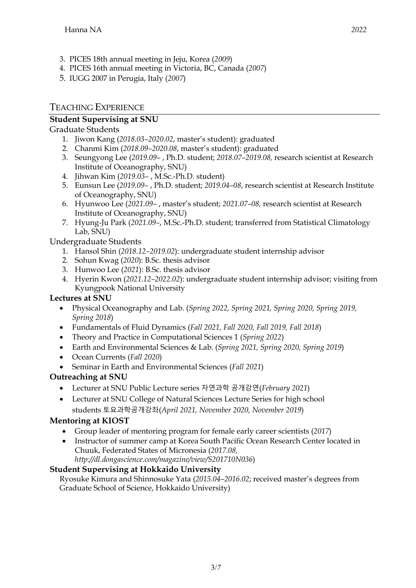- 3. PICES 18th annual meeting in Jeju, Korea (*2009*)
- 4. PICES 16th annual meeting in Victoria, BC, Canada (*2007*)
- 5. IUGG 2007 in Perugia, Italy (*2007*)

# TEACHING EXPERIENCE

# **Student Supervising at SNU**

# Graduate Students

- 1. Jiwon Kang (*2018.03–2020.02*, master's student): graduated
- 2. Chanmi Kim (*2018.09–2020.08*, master's student): graduated
- 3. Seungyong Lee (*2019.09–* , Ph.D. student; *2018.07–2019.08,* research scientist at Research Institute of Oceanography, SNU)
- 4. Jihwan Kim (*2019.03–* , M.Sc.-Ph.D. student)
- 5. Eunsun Lee (*2019.09–* , Ph.D. student; *2019.04–08*, research scientist at Research Institute of Oceanography, SNU)
- 6. Hyunwoo Lee (*2021.09–* , master's student; *2021.07–08,* research scientist at Research Institute of Oceanography, SNU)
- 7. Hyung-Ju Park (*2021.09–*, M.Sc.-Ph.D. student; transferred from Statistical Climatology Lab, SNU)

Undergraduate Students

- 1. Hansol Shin (*2018.12–2019.02*): undergraduate student internship advisor
- 2. Sohun Kwag (*2020*): B.Sc. thesis advisor
- 3. Hunwoo Lee (*2021*): B.Sc. thesis advisor
- 4. Hyerin Kwon (*2021.12–2022.02*): undergraduate student internship advisor; visiting from Kyungpook National University

# **Lectures at SNU**

- Physical Oceanography and Lab. (*Spring 2022, Spring 2021, Spring 2020, Spring 2019, Spring 2018*)
- Fundamentals of Fluid Dynamics (*Fall 2021, Fall 2020, Fall 2019, Fall 2018*)
- Theory and Practice in Computational Sciences 1 (*Spring 2022*)
- Earth and Environmental Sciences & Lab. (*Spring 2021, Spring 2020, Spring 2019*)
- Ocean Currents (*Fall 2020*)
- Seminar in Earth and Environmental Sciences (*Fall 2021*)

# **Outreaching at SNU**

- Lecturer at SNU Public Lecture series 자연과학 공개강연(*February 2021*)
- Lecturer at SNU College of Natural Sciences Lecture Series for high school students 토요과학공개강좌(*April 2021, November 2020, November 2019*)

# **Mentoring at KIOST**

- Group leader of mentoring program for female early career scientists (*2017*)
- Instructor of summer camp at Korea South Pacific Ocean Research Center located in Chuuk, Federated States of Micronesia (*2017.08, http://dl.dongascience.com/magazine/view/S201710N036*)

# **Student Supervising at Hokkaido University**

Ryosuke Kimura and Shinnosuke Yata (*2015.04–2016.02*; received master's degrees from Graduate School of Science, Hokkaido University)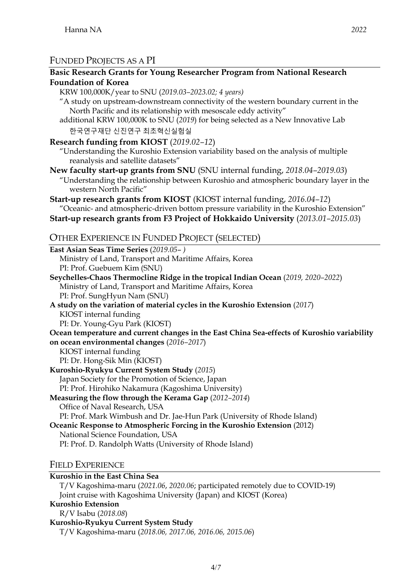# FUNDED PROJECTS AS A PI

### **Basic Research Grants for Young Researcher Program from National Research Foundation of Korea**

KRW 100,000K/year to SNU (*2019.03–2023.02; 4 years)*

"A study on upstream-downstream connectivity of the western boundary current in the North Pacific and its relationship with mesoscale eddy activity"

additional KRW 100,000K to SNU (*2019*) for being selected as a New Innovative Lab 한국연구재단 신진연구 최초혁신실험실

**Research funding from KIOST** (*2019.02–12*)

"Understanding the Kuroshio Extension variability based on the analysis of multiple reanalysis and satellite datasets"

**New faculty start-up grants from SNU** (SNU internal funding, *2018.04–2019.03*) "Understanding the relationship between Kuroshio and atmospheric boundary layer in the western North Pacific"

**Start-up research grants from KIOST** (KIOST internal funding, *2016.04–12*) "Oceanic- and atmospheric-driven bottom pressure variability in the Kuroshio Extension"

**Start-up research grants from F3 Project of Hokkaido University** (*2013.01–2015.03*)

### OTHER EXPERIENCE IN FUNDED PROJECT (SELECTED)

**East Asian Seas Time Series** (*2019.05*– *)* Ministry of Land, Transport and Maritime Affairs, Korea PI: Prof. Guebuem Kim (SNU) **Seychelles-Chaos Thermocline Ridge in the tropical Indian Ocean** (*2019, 2020–2022*) Ministry of Land, Transport and Maritime Affairs, Korea PI: Prof. SungHyun Nam (SNU) **A study on the variation of material cycles in the Kuroshio Extension** (*2017*) KIOST internal funding PI: Dr. Young-Gyu Park (KIOST) **Ocean temperature and current changes in the East China Sea-effects of Kuroshio variability on ocean environmental changes** (*2016–2017*) KIOST internal funding PI: Dr. Hong-Sik Min (KIOST) **Kuroshio-Ryukyu Current System Study** (*2015*) Japan Society for the Promotion of Science, Japan PI: Prof. Hirohiko Nakamura (Kagoshima University) **Measuring the flow through the Kerama Gap** (*2012–2014*) Office of Naval Research, USA PI: Prof. Mark Wimbush and Dr. Jae-Hun Park (University of Rhode Island) **Oceanic Response to Atmospheric Forcing in the Kuroshio Extension** (2012) National Science Foundation, USA PI: Prof. D. Randolph Watts (University of Rhode Island)

### FIELD EXPERIENCE

#### **Kuroshio in the East China Sea**

T/V Kagoshima-maru (*2021.06*, *2020.06*; participated remotely due to COVID-19) Joint cruise with Kagoshima University (Japan) and KIOST (Korea)

#### **Kuroshio Extension**

R/V Isabu (*2018.08*)

#### **Kuroshio-Ryukyu Current System Study**

T/V Kagoshima-maru (*2018.06, 2017.06, 2016.06, 2015.06*)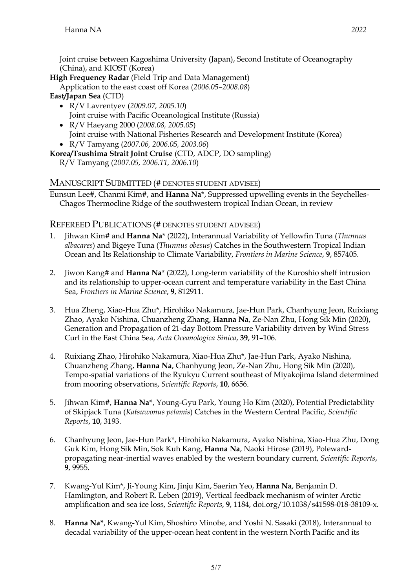Joint cruise between Kagoshima University (Japan), Second Institute of Oceanography (China), and KIOST (Korea)

**High Frequency Radar** (Field Trip and Data Management)

Application to the east coast off Korea (*2006.05–2008.08*) **East/Japan Sea** (CTD)

- R/V Lavrentyev (*2009.07, 2005.10*) Joint cruise with Pacific Oceanological Institute (Russia)
- R/V Haeyang 2000 (*2008.08, 2005.05*) Joint cruise with National Fisheries Research and Development Institute (Korea)
- R/V Tamyang (*2007.06, 2006.05, 2003.06*)
- **Korea/Tsushima Strait Joint Cruise** (CTD, ADCP, DO sampling)
	- R/V Tamyang (*2007.05, 2006.11, 2006.10*)

### MANUSCRIPT SUBMITTED (# DENOTES STUDENT ADVISEE)

Eunsun Lee#, Chanmi Kim#, and **Hanna Na**\*, Suppressed upwelling events in the Seychelles-Chagos Thermocline Ridge of the southwestern tropical Indian Ocean, in review

### REFEREED PUBLICATIONS (# DENOTES STUDENT ADVISEE)

- 1. Jihwan Kim# and **Hanna Na**\* (2022), Interannual Variability of Yellowfin Tuna (*Thunnus albacares*) and Bigeye Tuna (*Thunnus obesus*) Catches in the Southwestern Tropical Indian Ocean and Its Relationship to Climate Variability, *Frontiers in Marine Science*, **9**, 857405.
- 2. Jiwon Kang# and **Hanna Na**\* (2022), Long-term variability of the Kuroshio shelf intrusion and its relationship to upper-ocean current and temperature variability in the East China Sea, *Frontiers in Marine Science*, **9**, 812911.
- 3. Hua Zheng, Xiao-Hua Zhu\*, Hirohiko Nakamura, Jae-Hun Park, Chanhyung Jeon, Ruixiang Zhao, Ayako Nishina, Chuanzheng Zhang, **Hanna Na**, Ze-Nan Zhu, Hong Sik Min (2020), Generation and Propagation of 21-day Bottom Pressure Variability driven by Wind Stress Curl in the East China Sea, *Acta Oceanologica Sinica*, **39**, 91–106.
- 4. Ruixiang Zhao, Hirohiko Nakamura, Xiao-Hua Zhu\*, Jae-Hun Park, Ayako Nishina, Chuanzheng Zhang, **Hanna Na**, Chanhyung Jeon, Ze-Nan Zhu, Hong Sik Min (2020), Tempo-spatial variations of the Ryukyu Current southeast of Miyakojima Island determined from mooring observations, *Scientific Reports*, **10**, 6656.
- 5. Jihwan Kim#, **Hanna Na\***, Young-Gyu Park, Young Ho Kim (2020), Potential Predictability of Skipjack Tuna (*Katsuwonus pelamis*) Catches in the Western Central Pacific, *Scientific Reports*, **10**, 3193.
- 6. Chanhyung Jeon, Jae-Hun Park\*, Hirohiko Nakamura, Ayako Nishina, Xiao-Hua Zhu, Dong Guk Kim, Hong Sik Min, Sok Kuh Kang, **Hanna Na**, Naoki Hirose (2019), Polewardpropagating near-inertial waves enabled by the western boundary current, *Scientific Reports*, **9**, 9955.
- 7. Kwang-Yul Kim\*, Ji-Young Kim, Jinju Kim, Saerim Yeo, **Hanna Na**, Benjamin D. Hamlington, and Robert R. Leben (2019), Vertical feedback mechanism of winter Arctic amplification and sea ice loss, *Scientific Reports*, **9**, 1184, doi.org/10.1038/s41598-018-38109-x.
- 8. **Hanna Na\***, Kwang-Yul Kim, Shoshiro Minobe, and Yoshi N. Sasaki (2018), Interannual to decadal variability of the upper-ocean heat content in the western North Pacific and its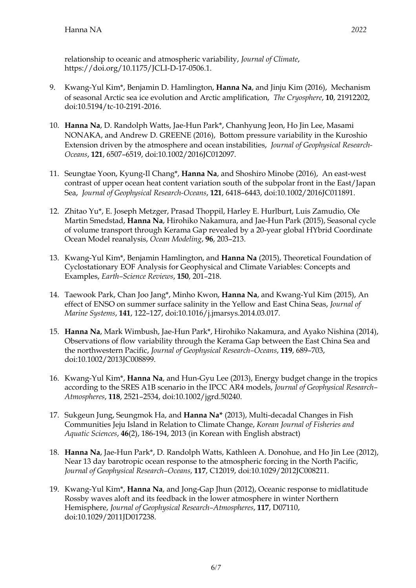relationship to oceanic and atmospheric variability, *Journal of Climate*, https://doi.org/10.1175/JCLI-D-17-0506.1.

- 9. Kwang-Yul Kim\*, Benjamin D. Hamlington, **Hanna Na**, and Jinju Kim (2016), Mechanism of seasonal Arctic sea ice evolution and Arctic amplification, *The Cryosphere*, **10**, 21912202, doi:10.5194/tc-10-2191-2016.
- 10. **Hanna Na**, D. Randolph Watts, Jae-Hun Park\*, Chanhyung Jeon, Ho Jin Lee, Masami NONAKA, and Andrew D. GREENE (2016), Bottom pressure variability in the Kuroshio Extension driven by the atmosphere and ocean instabilities, *Journal of Geophysical Research-Oceans*, **121**, 6507–6519, doi:10.1002/2016JC012097.
- 11. Seungtae Yoon, Kyung-Il Chang\*, **Hanna Na**, and Shoshiro Minobe (2016), An east-west contrast of upper ocean heat content variation south of the subpolar front in the East/Japan Sea, *Journal of Geophysical Research-Oceans*, **121**, 6418–6443, doi:10.1002/2016JC011891.
- 12. Zhitao Yu\*, E. Joseph Metzger, Prasad Thoppil, Harley E. Hurlburt, Luis Zamudio, Ole Martin Smedstad, **Hanna Na**, Hirohiko Nakamura, and Jae-Hun Park (2015), Seasonal cycle of volume transport through Kerama Gap revealed by a 20-year global HYbrid Coordinate Ocean Model reanalysis, *Ocean Modeling*, **96**, 203–213.
- 13. Kwang-Yul Kim\*, Benjamin Hamlington, and **Hanna Na** (2015), Theoretical Foundation of Cyclostationary EOF Analysis for Geophysical and Climate Variables: Concepts and Examples, *Earth–Science Reviews*, **150**, 201–218.
- 14. Taewook Park, Chan Joo Jang\*, Minho Kwon, **Hanna Na**, and Kwang-Yul Kim (2015), An effect of ENSO on summer surface salinity in the Yellow and East China Seas, *Journal of Marine Systems*, **141**, 122–127, doi:10.1016/j.jmarsys.2014.03.017.
- 15. **Hanna Na**, Mark Wimbush, Jae-Hun Park\*, Hirohiko Nakamura, and Ayako Nishina (2014), Observations of flow variability through the Kerama Gap between the East China Sea and the northwestern Pacific, *Journal of Geophysical Research–Oceans*, **119**, 689–703, doi:10.1002/2013JC008899.
- 16. Kwang-Yul Kim\*, **Hanna Na**, and Hun-Gyu Lee (2013), Energy budget change in the tropics according to the SRES A1B scenario in the IPCC AR4 models, *Journal of Geophysical Research– Atmospheres*, **118**, 2521–2534, doi:10.1002/jgrd.50240.
- 17. Sukgeun Jung, Seungmok Ha, and **Hanna Na\*** (2013), Multi-decadal Changes in Fish Communities Jeju Island in Relation to Climate Change, *Korean Journal of Fisheries and Aquatic Sciences*, **46**(2), 186-194, 2013 (in Korean with English abstract)
- 18. **Hanna Na**, Jae-Hun Park\*, D. Randolph Watts, Kathleen A. Donohue, and Ho Jin Lee (2012), Near 13 day barotropic ocean response to the atmospheric forcing in the North Pacific, *Journal of Geophysical Research–Oceans*, **117**, C12019, doi:10.1029/2012JC008211.
- 19. Kwang-Yul Kim\*, **Hanna Na**, and Jong-Gap Jhun (2012), Oceanic response to midlatitude Rossby waves aloft and its feedback in the lower atmosphere in winter Northern Hemisphere, *Journal of Geophysical Research–Atmospheres*, **117**, D07110, doi:10.1029/2011JD017238.